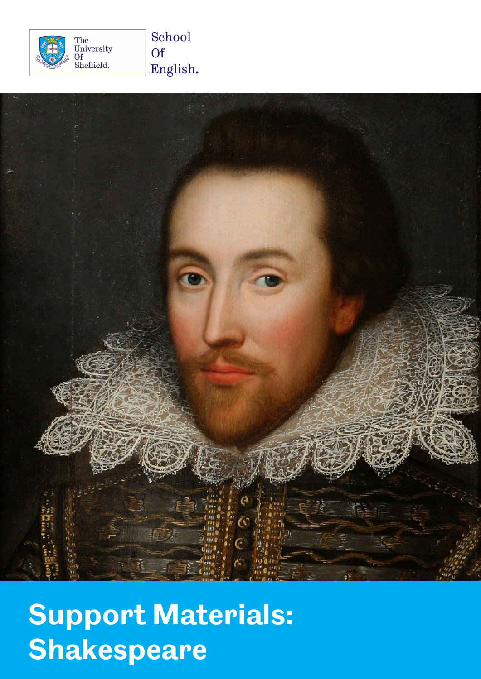



# **Support Materials: Shakespeare**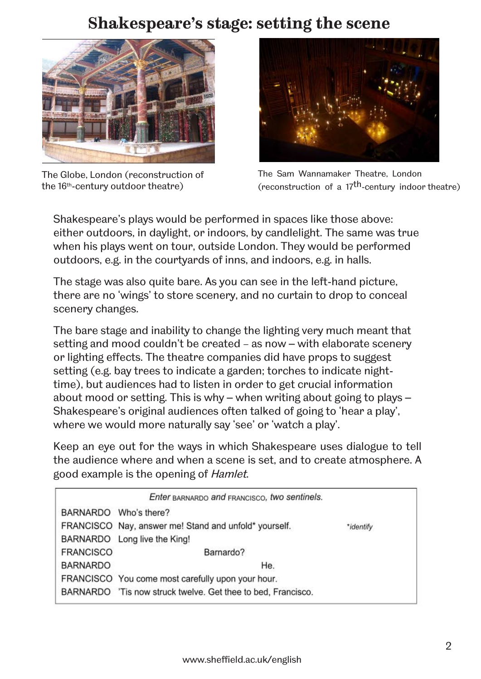## **Shakespeare's stage: setting the scene**



The Globe, London (reconstruction of the 16th -century outdoor theatre)



The Sam Wannamaker Theatre, London (reconstruction of a 17th-century indoor theatre)

Shakespeare's plays would be performed in spaces like those above: either outdoors, in daylight, or indoors, by candlelight. The same was true when his plays went on tour, outside London. They would be performed outdoors, e.g. in the courtyards of inns, and indoors, e.g. in halls.

The stage was also quite bare. As you can see in the left-hand picture, there are no 'wings' to store scenery, and no curtain to drop to conceal scenery changes.

The bare stage and inability to change the lighting very much meant that setting and mood couldn't be created – as now – with elaborate scenery or lighting effects. The theatre companies did have props to suggest setting (e.g. bay trees to indicate a garden; torches to indicate nighttime), but audiences had to listen in order to get crucial information about mood or setting. This is why – when writing about going to plays – Shakespeare's original audiences often talked of going to 'hear a play', where we would more naturally say 'see' or 'watch a play'.

Keep an eye out for the ways in which Shakespeare uses dialogue to tell the audience where and when a scene is set, and to create atmosphere. A good example is the opening of Hamlet.

| Enter BARNARDO and FRANCISCO, two sentinels. |                                                              |           |
|----------------------------------------------|--------------------------------------------------------------|-----------|
|                                              | BARNARDO Who's there?                                        |           |
|                                              | FRANCISCO Nay, answer me! Stand and unfold* yourself.        | *identify |
|                                              | BARNARDO Long live the King!                                 |           |
| <b>FRANCISCO</b>                             | Barnardo?                                                    |           |
| <b>BARNARDO</b>                              | He.                                                          |           |
|                                              | FRANCISCO You come most carefully upon your hour.            |           |
|                                              | BARNARDO 'Tis now struck twelve. Get thee to bed, Francisco. |           |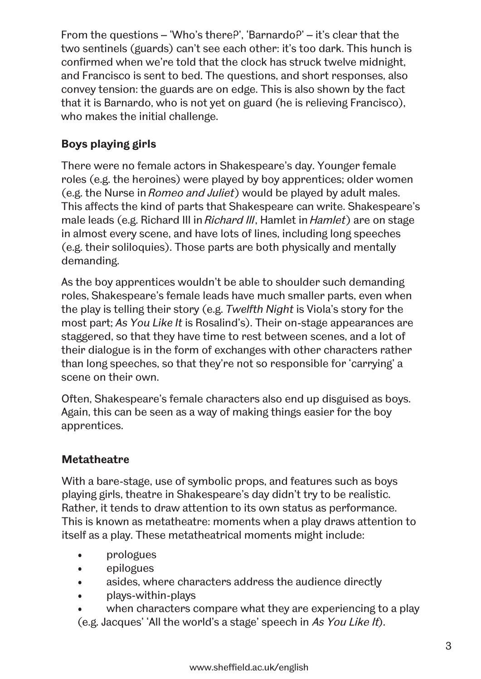From the questions – 'Who's there?', 'Barnardo?' – it's clear that the two sentinels (guards) can't see each other: it's too dark. This hunch is confirmed when we're told that the clock has struck twelve midnight, and Francisco is sent to bed. The questions, and short responses, also convey tension: the guards are on edge. This is also shown by the fact that it is Barnardo, who is not yet on guard (he is relieving Francisco), who makes the initial challenge.

### **Boys playing girls**

There were no female actors in Shakespeare's day. Younger female roles (e.g. the heroines) were played by boy apprentices; older women (e.g. the Nurse in Romeo and Juliet) would be played by adult males. This affects the kind of parts that Shakespeare can write. Shakespeare's male leads (e.g. Richard III in *Richard III*, Hamlet in *Hamlet*) are on stage in almost every scene, and have lots of lines, including long speeches (e.g. their soliloquies). Those parts are both physically and mentally demanding.

As the boy apprentices wouldn't be able to shoulder such demanding roles, Shakespeare's female leads have much smaller parts, even when the play is telling their story (e.g. *Twelfth Night* is Viola's story for the most part; *As You Like It* is Rosalind's). Their on-stage appearances are staggered, so that they have time to rest between scenes, and a lot of their dialogue is in the form of exchanges with other characters rather than long speeches, so that they're not so responsible for 'carrying' a scene on their own.

Often, Shakespeare's female characters also end up disguised as boys. Again, this can be seen as a way of making things easier for the boy apprentices.

#### **Metatheatre**

With a bare-stage, use of symbolic props, and features such as boys playing girls, theatre in Shakespeare's day didn't try to be realistic. Rather, it tends to draw attention to its own status as performance. This is known as metatheatre: moments when a play draws attention to itself as a play. These metatheatrical moments might include:

- prologues
- epilogues
- asides, where characters address the audience directly
- plays-within-plays
- when characters compare what they are experiencing to a play (e.g. Jacques' 'All the world's a stage' speech in As You Like It).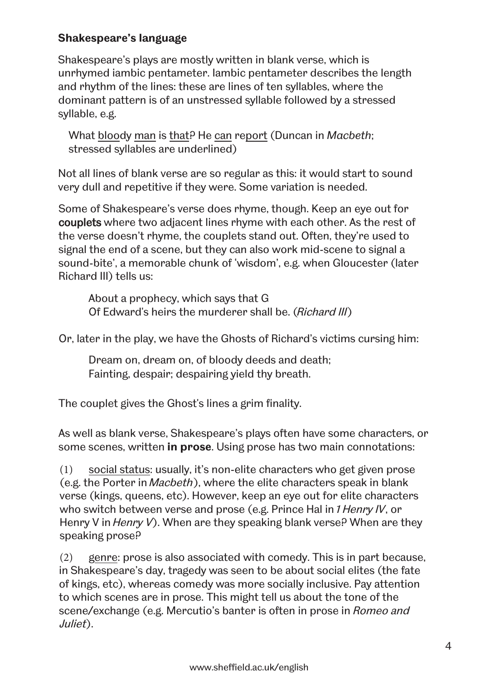#### **Shakespeare's language**

Shakespeare's plays are mostly written in blank verse, which is unrhymed iambic pentameter. Iambic pentameter describes the length and rhythm of the lines: these are lines of ten syllables, where the dominant pattern is of an unstressed syllable followed by a stressed syllable, e.g.

What bloody man is that? He can report (Duncan in *Macbeth*; stressed syllables are underlined)

Not all lines of blank verse are so regular as this: it would start to sound very dull and repetitive if they were. Some variation is needed.

Some of Shakespeare's verse does rhyme, though. Keep an eye out for couplets where two adjacent lines rhyme with each other. As the rest of the verse doesn't rhyme, the couplets stand out. Often, they're used to signal the end of a scene, but they can also work mid-scene to signal a sound-bite', a memorable chunk of 'wisdom', e.g. when Gloucester (later Richard III) tells us:

About a prophecy, which says that G Of Edward's heirs the murderer shall be. (Richard III)

Or, later in the play, we have the Ghosts of Richard's victims cursing him:

Dream on, dream on, of bloody deeds and death; Fainting, despair; despairing yield thy breath.

The couplet gives the Ghost's lines a grim finality.

As well as blank verse, Shakespeare's plays often have some characters, or some scenes, written **in prose**. Using prose has two main connotations:

(1) social status: usually, it's non-elite characters who get given prose (e.g. the Porter in Macbeth), where the elite characters speak in blank verse (kings, queens, etc). However, keep an eye out for elite characters who switch between verse and prose (e.g. Prince Hal in 1 Henry IV, or Henry V in *Henry V*). When are they speaking blank verse? When are they speaking prose?

(2) genre: prose is also associated with comedy. This is in part because, in Shakespeare's day, tragedy was seen to be about social elites (the fate of kings, etc), whereas comedy was more socially inclusive. Pay attention to which scenes are in prose. This might tell us about the tone of the scene/exchange (e.g. Mercutio's banter is often in prose in Romeo and Juliet).